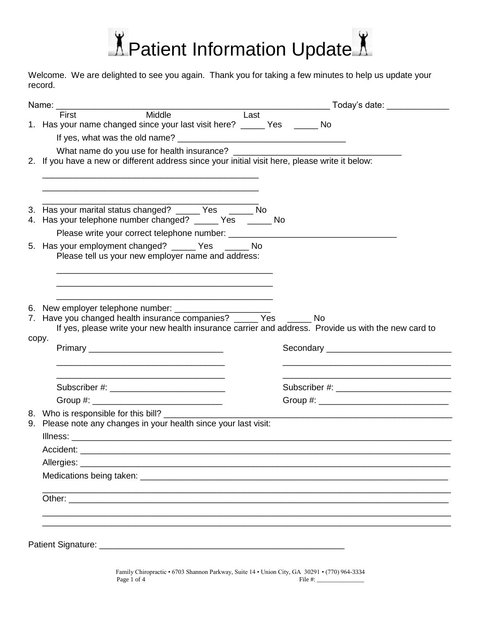

Welcome. We are delighted to see you again. Thank you for taking a few minutes to help us update your record.

|       |                                                                                                                       |  |  |                                                                | <b>Today's date:</b>                      |
|-------|-----------------------------------------------------------------------------------------------------------------------|--|--|----------------------------------------------------------------|-------------------------------------------|
|       | Name: First Middle Last                                                                                               |  |  |                                                                |                                           |
|       | 1. Has your name changed since your last visit here? ______ Yes ______ No                                             |  |  |                                                                |                                           |
|       |                                                                                                                       |  |  |                                                                |                                           |
|       |                                                                                                                       |  |  |                                                                |                                           |
|       | 2. If you have a new or different address since your initial visit here, please write it below:                       |  |  |                                                                |                                           |
|       |                                                                                                                       |  |  |                                                                |                                           |
|       |                                                                                                                       |  |  |                                                                |                                           |
|       | 3. Has your marital status changed? _____ Yes _____ No                                                                |  |  |                                                                |                                           |
|       | 4. Has your telephone number changed? _____ Yes _____ No                                                              |  |  |                                                                |                                           |
|       |                                                                                                                       |  |  |                                                                |                                           |
|       | 5. Has your employment changed? ______ Yes ______ No                                                                  |  |  |                                                                |                                           |
|       | Please tell us your new employer name and address:                                                                    |  |  |                                                                |                                           |
|       |                                                                                                                       |  |  |                                                                |                                           |
|       |                                                                                                                       |  |  |                                                                |                                           |
|       |                                                                                                                       |  |  |                                                                |                                           |
|       |                                                                                                                       |  |  |                                                                |                                           |
|       |                                                                                                                       |  |  |                                                                |                                           |
|       | 6. New employer telephone number: ____________<br>7. Have you changed health insurance companies? _____ Yes _____ No  |  |  |                                                                |                                           |
|       | If yes, please write your new health insurance carrier and address. Provide us with the new card to                   |  |  |                                                                |                                           |
| copy. |                                                                                                                       |  |  |                                                                |                                           |
|       |                                                                                                                       |  |  |                                                                | Secondary _______________________________ |
|       | <u> 1989 - Johann Stoff, deutscher Stoff, der Stoff, der Stoff, der Stoff, der Stoff, der Stoff, der Stoff, der S</u> |  |  | <u> 1989 - Johann Barbara, margaret eta idazlea (h. 1989).</u> |                                           |
|       |                                                                                                                       |  |  |                                                                |                                           |
|       | Subscriber #: ________________________________                                                                        |  |  |                                                                |                                           |
|       |                                                                                                                       |  |  |                                                                |                                           |
|       | 8. Who is responsible for this bill?                                                                                  |  |  |                                                                |                                           |
|       | 9. Please note any changes in your health since your last visit:                                                      |  |  |                                                                |                                           |
|       |                                                                                                                       |  |  |                                                                |                                           |
|       |                                                                                                                       |  |  |                                                                |                                           |
|       |                                                                                                                       |  |  |                                                                |                                           |
|       | Medications being taken: Manual Account of the Medications being taken:                                               |  |  |                                                                |                                           |
|       |                                                                                                                       |  |  |                                                                |                                           |
|       |                                                                                                                       |  |  |                                                                |                                           |
|       |                                                                                                                       |  |  |                                                                |                                           |
|       |                                                                                                                       |  |  |                                                                |                                           |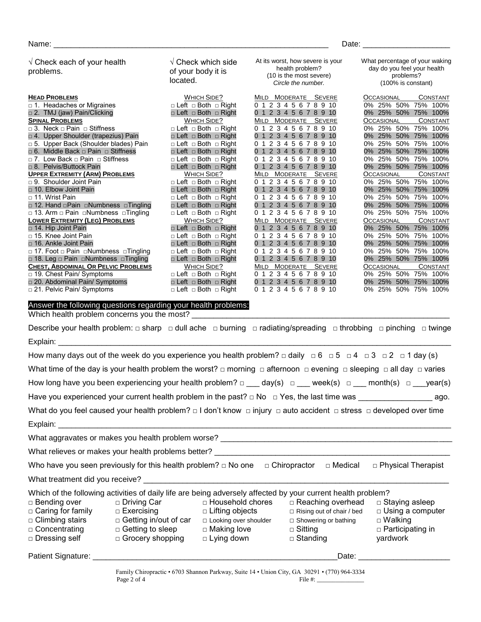$\sqrt{\phantom{a}}$  Check each of your health problems. **HEAD PROBLEMS** □ 1. Headaches or Migraines □ 2. TMJ (jaw) Pain/Clicking **SPINAL PROBLEMS** □ 3. Neck □ Pain □ Stiffness □ 4. Upper Shoulder (trapezius) Pain □ 5. Upper Back (Shoulder blades) Pain □ 6. Middle Back □ Pain □ Stiffness □ 7. Low Back □ Pain □ Stiffness □ 8. Pelvis/Buttock Pain **UPPER EXTREMITY (ARM) PROBLEMS** □ 9. Shoulder Joint Pain □ 10. Elbow Joint Pain □ 11. Wrist Pain □ 12. Hand □Pain □Numbness □Tingling □ 13. Arm □ Pain □Numbness □Tingling **LOWER EXTREMITY (LEG) PROBLEMS** □ 14. Hip Joint Pain □ 15. Knee Joint Pain □ 16. Ankle Joint Pain □ 17. Foot □ Pain □Numbness □Tingling □ 18. Leg □ Pain □Numbness □Tingling **CHEST, ABDOMINAL OR PELVIC PROBLEMS**  $\Box$  19. Chest Pain/ Symptoms □ 20. Abdominal Pain/ Symptoms □ 21. Pelvic Pain/ Symptoms √ Check which side of your body it is located. WHICH SIDE? □ Left □ Both □ Right □ Left □ Both □ Right WHICH SIDE? □ Left □ Both □ Right □ Left □ Both □ Right □ Left □ Both □ Right □ Left □ Both □ Right □ Left □ Both □ Right □ Left □ Both □ Right WHICH SIDE? □ Left □ Both □ Right □ Left □ Both □ Right □ Left □ Both □ Right □ Left □ Both □ Right □ Left □ Both □ Right WHICH SIDE? □ Left □ Both □ Right □ Left □ Both □ Right □ Left □ Both □ Right □ Left □ Both □ Right □ Left □ Both □ Right WHICH SIDE? □ Left □ Both □ Right □ Left □ Both □ Right □ Left □ Both □ Right At its worst, how severe is your health problem? (10 is the most severe) *Circle the number.* MILD MODERATE SEVERE 0 1 2 3 4 5 6 7 8 9 10 0 1 2 3 4 5 6 7 8 9 10 MILD MODERATE SEVERE 0 1 2 3 4 5 6 7 8 9 10 0 1 2 3 4 5 6 7 8 9 10 0 1 2 3 4 5 6 7 8 9 10 0 1 2 3 4 5 6 7 8 9 10 0 1 2 3 4 5 6 7 8 9 10 0 1 2 3 4 5 6 7 8 9 10 MILD MODERATE SEVERE 0 1 2 3 4 5 6 7 8 9 10 0 1 2 3 4 5 6 7 8 9 10 0 1 2 3 4 5 6 7 8 9 10 0 1 2 3 4 5 6 7 8 9 10 0 1 2 3 4 5 6 7 8 9 10 MILD MODERATE SEVERE 0 1 2 3 4 5 6 7 8 9 10 0 1 2 3 4 5 6 7 8 9 10 0 1 2 3 4 5 6 7 8 9 10 0 1 2 3 4 5 6 7 8 9 10 0 1 2 3 4 5 6 7 8 9 10 MILD MODERATE SEVERE 0 1 2 3 4 5 6 7 8 9 10 0 1 2 3 4 5 6 7 8 9 10 0 1 2 3 4 5 6 7 8 9 10 What percentage of your waking day do you feel your health problems? (100% is constant) OCCASIONAL CONSTANT 0% 25% 50% 75% 100% 0% 25% 50% 75% 100% OCCASIONAL CONSTANT 0% 25% 50% 75% 100% 0% 25% 50% 75% 100% 0% 25% 50% 75% 100% 0% 25% 50% 75% 100% 0% 25% 50% 75% 100% 0% 25% 50% 75% 100%<br>Occasional Constant OCCASIONAL CONSTANT<br>0% 25% 50% 75% 100% 0% 25% 50% 0% 25% 50% 75% 100% 0% 25% 50% 75% 100% 0% 25% 50% 75% 100% 0% 25% 50% 75% 100% **OCCASIONAL** 0% 25% 50% 75% 100% 0% 25% 50% 75% 100% 0% 25% 50% 75% 100% 0% 25% 50% 75% 100% 0% 25% 50% 75% 100% OCCASIONAL CONSTANT<sub>0%</sub> 25% 50% 75% 100%  $0\%$  25% 50% 0% 25% 50% 75% 100% 0% 25% 50% 75% 100% Answer the following questions regarding your health problems: Which health problem concerns you the most? Describe your health problem: □ sharp □ dull ache □ burning □ radiating/spreading □ throbbing □ pinching □ twinge Explain: \_\_\_\_\_\_\_\_\_\_\_\_\_\_\_\_\_\_\_\_\_\_\_\_\_\_\_\_\_\_\_\_\_\_\_\_\_\_\_\_\_\_\_\_\_\_\_\_\_\_\_\_\_\_\_\_\_\_\_\_\_\_\_\_\_\_\_\_\_\_\_\_\_\_\_\_\_\_\_\_\_\_\_\_\_\_\_\_\_\_ How many days out of the week do you experience you health problem?  $\Box$  daily  $\Box$  6  $\Box$  5  $\Box$  4  $\Box$  3  $\Box$  2  $\Box$  1 day (s) What time of the day is your health problem the worst? □ morning □ afternoon □ evening □ sleeping □ all day □ varies How long have you been experiencing your health problem?  $\square$  day(s)  $\square$  week(s)  $\square$  month(s)  $\square$  year(s) Have you experienced your current health problem in the past? □ No □ Yes, the last time was \_\_\_\_\_\_\_\_\_\_\_\_\_\_\_\_\_ ago. What do you feel caused your health problem? □ I don't know □ injury □ auto accident □ stress □ developed over time Explain: \_\_\_\_\_\_\_\_\_\_\_\_\_\_\_\_\_\_\_\_\_\_\_\_\_\_\_\_\_\_\_\_\_\_\_\_\_\_\_\_\_\_\_\_\_\_\_\_\_\_\_\_\_\_\_\_\_\_\_\_\_\_\_\_\_\_\_\_\_\_\_\_\_\_\_\_\_\_\_\_\_\_\_\_\_\_\_\_\_\_ What aggravates or makes you health problem worse? What relieves or makes your health problems better? Who have you seen previously for this health problem?  $\Box$  No one  $\Box$  Chiropractor  $\Box$  Medical  $\Box$  Physical Therapist What treatment did you receive? Which of the following activities of daily life are being adversely affected by your current health problem? □ Bending over □ Driving Car □ Household chores □ Reaching overhead □ Staying asleep

| — — <del>— … … "</del> — — |  |  |
|----------------------------|--|--|
| □ Caring for family        |  |  |

| $\Box$ Climbing stairs |
|------------------------|
| $\Box$ Concentrating   |

|  |  |  | □ Dressing sel |  |
|--|--|--|----------------|--|

| ıg | - - - - - -<br>$\Box$ Getting to sleep |
|----|----------------------------------------|
|    | $\Box$ Grocery shopping                |

□ Exercising

□ Getting in/out of car

| Patient Sig |        |
|-------------|--------|
| Signature:  | . )ate |
| .           |        |

Family Chiropractic • 6703 Shannon Parkway, Suite 14 • Union City, GA 30291 • (770) 964-3334 Page 2 of 4

□ Lifting objects □ Looking over shoulder □ Making love  $\square$  Lying down

□ Rising out of chair / bed □ Showering or bathing

□ Using a computer

□ Walking □ Participating in yardwork

□ Sitting □ Standing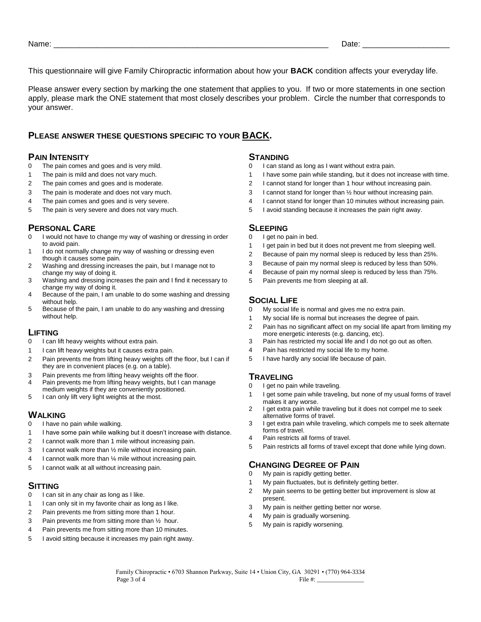This questionnaire will give Family Chiropractic information about how your **BACK** condition affects your everyday life.

Please answer every section by marking the one statement that applies to you. If two or more statements in one section apply, please mark the ONE statement that most closely describes your problem. Circle the number that corresponds to your answer.

### **PLEASE ANSWER THESE QUESTIONS SPECIFIC TO YOUR BACK.**

### **PAIN INTENSITY** 0 The pain comes

- The pain comes and goes and is very mild.
- The pain is mild and does not vary much.
- The pain comes and goes and is moderate.
- The pain is moderate and does not vary much.
- The pain comes and goes and is very severe.
- The pain is very severe and does not vary much.

### **PERSONAL CARE**

- I would not have to change my way of washing or dressing in order to avoid pain.
- I do not normally change my way of washing or dressing even though it causes some pain.
- Washing and dressing increases the pain, but I manage not to change my way of doing it.
- Washing and dressing increases the pain and I find it necessary to change my way of doing it.
- Because of the pain, I am unable to do some washing and dressing without help.
- Because of the pain, I am unable to do any washing and dressing without help.

#### **LIFTING**

- I can lift heavy weights without extra pain.
- I can lift heavy weights but it causes extra pain.
- Pain prevents me from lifting heavy weights off the floor, but I can if they are in convenient places (e.g. on a table).
- Pain prevents me from lifting heavy weights off the floor.
- Pain prevents me from lifting heavy weights, but I can manage
- medium weights if they are conveniently positioned. I can only lift very light weights at the most.

# **WALKING**<br>0 **Lhave** no

- I have no pain while walking.
- I have some pain while walking but it doesn't increase with distance.
- I cannot walk more than 1 mile without increasing pain.
- I cannot walk more than ½ mile without increasing pain.
- I cannot walk more than ¼ mile without increasing pain.
- I cannot walk at all without increasing pain.

# **SITTING**

- I can sit in any chair as long as I like.
- I can only sit in my favorite chair as long as I like.
- Pain prevents me from sitting more than 1 hour.
- Pain prevents me from sitting more than ½ hour.
- Pain prevents me from sitting more than 10 minutes.
- I avoid sitting because it increases my pain right away.

#### **STANDING**

- I can stand as long as I want without extra pain.
- I have some pain while standing, but it does not increase with time.
- I cannot stand for longer than 1 hour without increasing pain.
- I cannot stand for longer than ½ hour without increasing pain.
- I cannot stand for longer than 10 minutes without increasing pain.
- I avoid standing because it increases the pain right away.

#### **SLEEPING**

- I get no pain in bed.
- I get pain in bed but it does not prevent me from sleeping well.
- Because of pain my normal sleep is reduced by less than 25%.
- Because of pain my normal sleep is reduced by less than 50%.
- Because of pain my normal sleep is reduced by less than 75%.
- Pain prevents me from sleeping at all.

### **SOCIAL LIFE**

- My social life is normal and gives me no extra pain.
- My social life is normal but increases the degree of pain.
- Pain has no significant affect on my social life apart from limiting my more energetic interests (e.g. dancing, etc).
- Pain has restricted my social life and I do not go out as often.
- Pain has restricted my social life to my home.
- I have hardly any social life because of pain.

#### **TRAVELING**

- 0 I get no pain while traveling.
- I get some pain while traveling, but none of my usual forms of travel makes it any worse.
- 2 I get extra pain while traveling but it does not compel me to seek alternative forms of travel.
- I get extra pain while traveling, which compels me to seek alternate forms of travel.
- Pain restricts all forms of travel.
- Pain restricts all forms of travel except that done while lying down.

### **CHANGING DEGREE OF PAIN**

- My pain is rapidly getting better.
- My pain fluctuates, but is definitely getting better.
- My pain seems to be getting better but improvement is slow at present.
- My pain is neither getting better nor worse.
- My pain is gradually worsening.
- My pain is rapidly worsening.